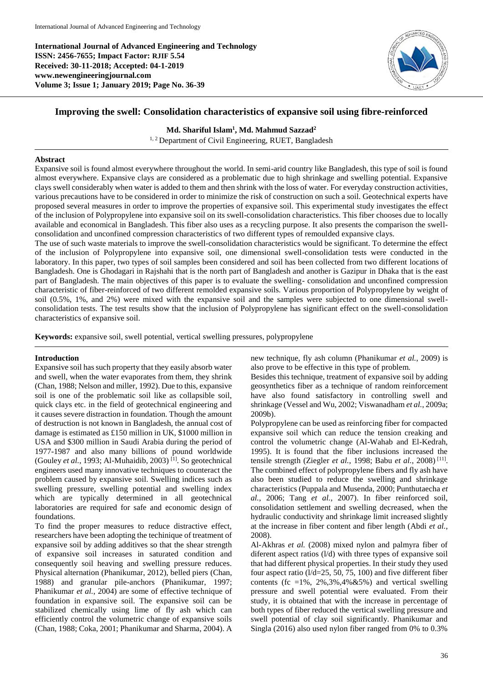**International Journal of Advanced Engineering and Technology ISSN: 2456-7655; Impact Factor: RJIF 5.54 Received: 30-11-2018; Accepted: 04-1-2019 www.newengineeringjournal.com Volume 3; Issue 1; January 2019; Page No. 36-39**



# **Improving the swell: Consolidation characteristics of expansive soil using fibre-reinforced**

# **Md. Shariful Islam<sup>1</sup> , Md. Mahmud Sazzad<sup>2</sup>**

<sup>1, 2</sup> Department of Civil Engineering, RUET, Bangladesh

# **Abstract**

Expansive soil is found almost everywhere throughout the world. In semi-arid country like Bangladesh, this type of soil is found almost everywhere. Expansive clays are considered as a problematic due to high shrinkage and swelling potential. Expansive clays swell considerably when water is added to them and then shrink with the loss of water. For everyday construction activities, various precautions have to be considered in order to minimize the risk of construction on such a soil. Geotechnical experts have proposed several measures in order to improve the properties of expansive soil. This experimental study investigates the effect of the inclusion of Polypropylene into expansive soil on its swell-consolidation characteristics. This fiber chooses due to locally available and economical in Bangladesh. This fiber also uses as a recycling purpose. It also presents the comparison the swellconsolidation and unconfined compression characteristics of two different types of remoulded expansive clays.

The use of such waste materials to improve the swell-consolidation characteristics would be significant. To determine the effect of the inclusion of Polypropylene into expansive soil, one dimensional swell-consolidation tests were conducted in the laboratory. In this paper, two types of soil samples been considered and soil has been collected from two different locations of Bangladesh. One is Ghodagari in Rajshahi that is the north part of Bangladesh and another is Gazipur in Dhaka that is the east part of Bangladesh. The main objectives of this paper is to evaluate the swelling- consolidation and unconfined compression characteristic of fiber-reinforced of two different remolded expansive soils. Various proportion of Polypropylene by weight of soil (0.5%, 1%, and 2%) were mixed with the expansive soil and the samples were subjected to one dimensional swellconsolidation tests. The test results show that the inclusion of Polypropylene has significant effect on the swell-consolidation characteristics of expansive soil.

**Keywords:** expansive soil, swell potential, vertical swelling pressures, polypropylene

# **Introduction**

Expansive soil has such property that they easily absorb water and swell, when the water evaporates from them, they shrink (Chan, 1988; Nelson and miller, 1992). Due to this, expansive soil is one of the problematic soil like as collapsible soil, quick clays etc. in the field of geotechnical engineering and it causes severe distraction in foundation. Though the amount of destruction is not known in Bangladesh, the annual cost of damage is estimated as £150 million in UK, \$1000 million in USA and \$300 million in Saudi Arabia during the period of 1977-1987 and also many billions of pound worldwide (Gouley *et al.*, 1993; Al-Muhaidib, 2003) [1]. So geotechnical engineers used many innovative techniques to counteract the problem caused by expansive soil. Swelling indices such as swelling pressure, swelling potential and swelling index which are typically determined in all geotechnical laboratories are required for safe and economic design of foundations.

To find the proper measures to reduce distractive effect, researchers have been adopting the techinique of treatment of expansive soil by adding additives so that the shear strength of expansive soil increases in saturated condition and consequently soil heaving and swelling pressure reduces. Physical alternation (Phanikumar, 2012), belled piers (Chan, 1988) and granular pile-anchors (Phanikumar, 1997; Phanikumar *et al.*, 2004) are some of effective technique of foundation in expansive soil. The expansive soil can be stabilized chemically using lime of fly ash which can efficiently control the volumetric change of expansive soils (Chan, 1988; Coka, 2001; Phanikumar and Sharma, 2004). A

new technique, fly ash column (Phanikumar *et al.*, 2009) is also prove to be effective in this type of problem.

Besides this technique, treatment of expansive soil by adding geosynthetics fiber as a technique of random reinforcement have also found satisfactory in controlling swell and shrinkage (Vessel and Wu, 2002; Viswanadham *et al.*, 2009a; 2009b).

Polypropylene can be used as reinforcing fiber for compacted expansive soil which can reduce the tension creaking and control the volumetric change (Al-Wahab and El-Kedrah, 1995). It is found that the fiber inclusions increased the tensile strength (Ziegler *et al.*, 1998; Babu *et al.*, 2008) [11] . The combined effect of polypropylene fibers and fly ash have also been studied to reduce the swelling and shrinkage characteristics (Puppala and Musenda, 2000; Punthutaecha *et al.*, 2006; Tang *et al.*, 2007). In fiber reinforced soil, consolidation settlement and swelling decreased, when the hydraulic conductivity and shrinkage limit increased slightly at the increase in fiber content and fiber length (Abdi *et al.*, 2008).

Al-Akhras *et al.* (2008) mixed nylon and palmyra fiber of diferent aspect ratios (l/d) with three types of expansive soil that had different physical properties. In their study they used four aspect ratio (l/d=25, 50, 75, 100) and five different fiber contents (fc =1%,  $2\%, 3\%, 4\% \& 5\%$ ) and vertical swelling pressure and swell potential were evaluated. From their study, it is obtained that with the increase in percentage of both types of fiber reduced the vertical swelling pressure and swell potential of clay soil significantly. Phanikumar and Singla (2016) also used nylon fiber ranged from 0% to 0.3%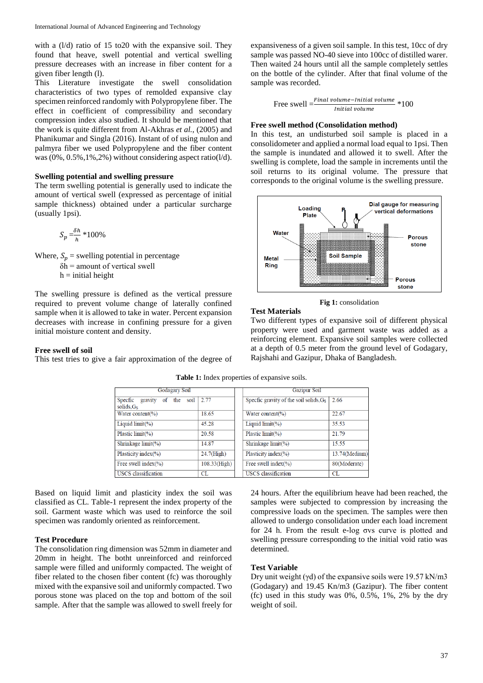with a (l/d) ratio of 15 to20 with the expansive soil. They found that heave, swell potential and vertical swelling pressure decreases with an increase in fiber content for a given fiber length (l).

This Literature investigate the swell consolidation characteristics of two types of remolded expansive clay specimen reinforced randomly with Polypropylene fiber. The effect in coefficient of compressibility and secondary compression index also studied. It should be mentioned that the work is quite different from Al-Akhras *et al.*, (2005) and Phanikumar and Singla (2016). Instant of of using nulon and palmyra fiber we used Polypropylene and the fiber content was  $(0\%, 0.5\%, 1\%, 2\%)$  without considering aspect ratio( $1/d$ ).

#### **Swelling potential and swelling pressure**

The term swelling potential is generally used to indicate the amount of vertical swell (expressed as percentage of initial sample thickness) obtained under a particular surcharge (usually 1psi).

$$
S_p = \frac{\delta h}{h} * 100\%
$$

Where,  $S_p$  = swelling potential in percentage

 $\delta h$  = amount of vertical swell

 $h = initial height$ 

The swelling pressure is defined as the vertical pressure required to prevent volume change of laterally confined sample when it is allowed to take in water. Percent expansion decreases with increase in confining pressure for a given initial moisture content and density.

#### **Free swell of soil**

This test tries to give a fair approximation of the degree of

expansiveness of a given soil sample. In this test, 10cc of dry sample was passed NO-40 sieve into 100cc of distilled warer. Then waited 24 hours until all the sample completely settles on the bottle of the cylinder. After that final volume of the sample was recorded.

Free swell =
$$
\frac{Final\,volume -Initial\,volume}{Initial\,volume} * 100
$$

#### **Free swell method (Consolidation method)**

In this test, an undisturbed soil sample is placed in a consolidometer and applied a normal load equal to 1psi. Then the sample is inundated and allowed it to swell. After the swelling is complete, load the sample in increments until the soil returns to its original volume. The pressure that corresponds to the original volume is the swelling pressure.



**Fig 1:** consolidation

#### **Test Materials**

Two different types of expansive soil of different physical property were used and garment waste was added as a reinforcing element. Expansive soil samples were collected at a depth of 0.5 meter from the ground level of Godagary, Rajshahi and Gazipur, Dhaka of Bangladesh.

| <b>Godagary Soil</b>                                 |               | <b>Gazipur Soil</b>                                |               |
|------------------------------------------------------|---------------|----------------------------------------------------|---------------|
| gravity<br>soil<br>Specfic<br>the<br>of<br>solids.Gs | 2.77          | Specfic gravity of the soil solids, G <sub>s</sub> | 2.66          |
| Water content( $\%$ )                                | 18.65         | Water content(%)                                   | 22.67         |
| Liquid $\limit(\%)$                                  | 45.28         | Liquid $\limit(\%)$                                | 35.53         |
| Plastic $\text{limit}$ $(\%)$                        | 20.58         | Plastic limit(%)                                   | 21.79         |
| Shrinkage $limit(\% )$                               | 14.87         | Shrinkage $limit(\% )$                             | 15.55         |
| Plasticity index $(\% )$                             | $24.7$ (High) | Plasticity index $(\% )$                           | 13.74(Medium) |
| Free swell index $(\% )$                             | 108.33(High)  | Free swell index $(\% )$                           | 80(Moderate)  |
| <b>USCS</b> classification                           | <b>CL</b>     | <b>USCS</b> classification                         | CL            |

**Table 1:** Index properties of expansive soils.

Based on liquid limit and plasticity index the soil was classified as CL. Table-1 represent the index property of the soil. Garment waste which was used to reinforce the soil specimen was randomly oriented as reinforcement.

# **Test Procedure**

The consolidation ring dimension was 52mm in diameter and 20mm in height. The botht unreinforced and reinforced sample were filled and uniformly compacted. The weight of fiber related to the chosen fiber content (fc) was thoroughly mixed with the expansive soil and uniformly compacted. Two porous stone was placed on the top and bottom of the soil sample. After that the sample was allowed to swell freely for 24 hours. After the equilibrium heave had been reached, the samples were subjected to compression by increasing the compressive loads on the specimen. The samples were then allowed to undergo consolidation under each load increment for 24 h. From the result e-log σvs curve is plotted and swelling pressure corresponding to the initial void ratio was determined.

# **Test Variable**

Dry unit weight (γd) of the expansive soils were 19.57 kN/m3 (Godagary) and 19.45 Kn/m3 (Gazipur). The fiber content (fc) used in this study was  $0\%$ ,  $0.5\%$ ,  $1\%$ ,  $2\%$  by the dry weight of soil.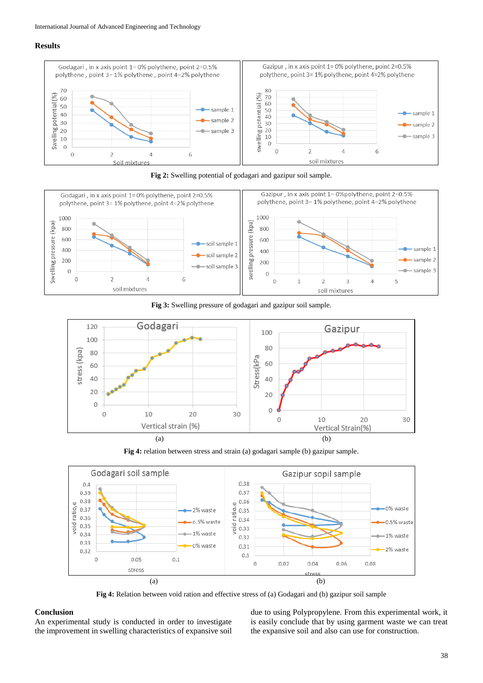# **Results**







**Fig 3:** Swelling pressure of godagari and gazipur soil sample.



**Fig 4:** relation between stress and strain (a) godagari sample (b) gazipur sample.



**Fig 4:** Relation between void ration and effective stress of (a) Godagari and (b) gazipur soil sample

# **Conclusion**

An experimental study is conducted in order to investigate the improvement in swelling characteristics of expansive soil due to using Polypropylene. From this experimental work, it is easily conclude that by using garment waste we can treat the expansive soil and also can use for construction.